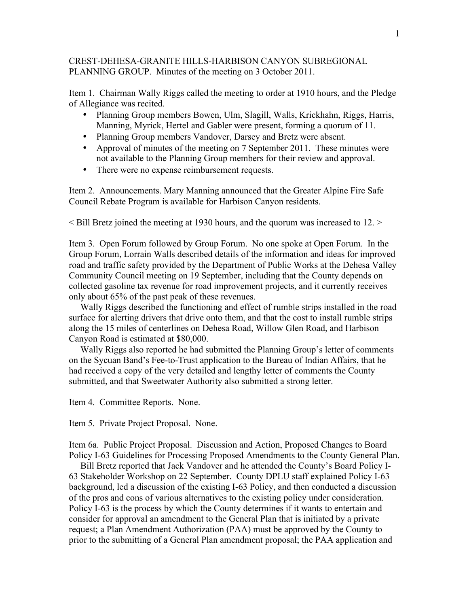## CREST-DEHESA-GRANITE HILLS-HARBISON CANYON SUBREGIONAL PLANNING GROUP. Minutes of the meeting on 3 October 2011.

Item 1. Chairman Wally Riggs called the meeting to order at 1910 hours, and the Pledge of Allegiance was recited.

- Planning Group members Bowen, Ulm, Slagill, Walls, Krickhahn, Riggs, Harris, Manning, Myrick, Hertel and Gabler were present, forming a quorum of 11.
- Planning Group members Vandover, Darsey and Bretz were absent.
- Approval of minutes of the meeting on 7 September 2011. These minutes were not available to the Planning Group members for their review and approval.
- There were no expense reimbursement requests.

Item 2. Announcements. Mary Manning announced that the Greater Alpine Fire Safe Council Rebate Program is available for Harbison Canyon residents.

< Bill Bretz joined the meeting at 1930 hours, and the quorum was increased to 12. >

Item 3. Open Forum followed by Group Forum. No one spoke at Open Forum. In the Group Forum, Lorrain Walls described details of the information and ideas for improved road and traffic safety provided by the Department of Public Works at the Dehesa Valley Community Council meeting on 19 September, including that the County depends on collected gasoline tax revenue for road improvement projects, and it currently receives only about 65% of the past peak of these revenues.

 Wally Riggs described the functioning and effect of rumble strips installed in the road surface for alerting drivers that drive onto them, and that the cost to install rumble strips along the 15 miles of centerlines on Dehesa Road, Willow Glen Road, and Harbison Canyon Road is estimated at \$80,000.

 Wally Riggs also reported he had submitted the Planning Group's letter of comments on the Sycuan Band's Fee-to-Trust application to the Bureau of Indian Affairs, that he had received a copy of the very detailed and lengthy letter of comments the County submitted, and that Sweetwater Authority also submitted a strong letter.

Item 4. Committee Reports. None.

Item 5. Private Project Proposal. None.

Item 6a. Public Project Proposal. Discussion and Action, Proposed Changes to Board Policy I-63 Guidelines for Processing Proposed Amendments to the County General Plan.

 Bill Bretz reported that Jack Vandover and he attended the County's Board Policy I-63 Stakeholder Workshop on 22 September. County DPLU staff explained Policy I-63 background, led a discussion of the existing I-63 Policy, and then conducted a discussion of the pros and cons of various alternatives to the existing policy under consideration. Policy I-63 is the process by which the County determines if it wants to entertain and consider for approval an amendment to the General Plan that is initiated by a private request; a Plan Amendment Authorization (PAA) must be approved by the County to prior to the submitting of a General Plan amendment proposal; the PAA application and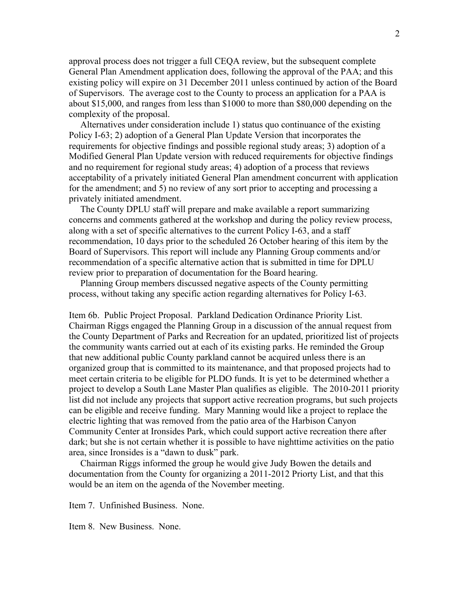approval process does not trigger a full CEQA review, but the subsequent complete General Plan Amendment application does, following the approval of the PAA; and this existing policy will expire on 31 December 2011 unless continued by action of the Board of Supervisors. The average cost to the County to process an application for a PAA is about \$15,000, and ranges from less than \$1000 to more than \$80,000 depending on the complexity of the proposal.

 Alternatives under consideration include 1) status quo continuance of the existing Policy I-63; 2) adoption of a General Plan Update Version that incorporates the requirements for objective findings and possible regional study areas; 3) adoption of a Modified General Plan Update version with reduced requirements for objective findings and no requirement for regional study areas; 4) adoption of a process that reviews acceptability of a privately initiated General Plan amendment concurrent with application for the amendment; and 5) no review of any sort prior to accepting and processing a privately initiated amendment.

 The County DPLU staff will prepare and make available a report summarizing concerns and comments gathered at the workshop and during the policy review process, along with a set of specific alternatives to the current Policy I-63, and a staff recommendation, 10 days prior to the scheduled 26 October hearing of this item by the Board of Supervisors. This report will include any Planning Group comments and/or recommendation of a specific alternative action that is submitted in time for DPLU review prior to preparation of documentation for the Board hearing.

 Planning Group members discussed negative aspects of the County permitting process, without taking any specific action regarding alternatives for Policy I-63.

Item 6b. Public Project Proposal. Parkland Dedication Ordinance Priority List. Chairman Riggs engaged the Planning Group in a discussion of the annual request from the County Department of Parks and Recreation for an updated, prioritized list of projects the community wants carried out at each of its existing parks. He reminded the Group that new additional public County parkland cannot be acquired unless there is an organized group that is committed to its maintenance, and that proposed projects had to meet certain criteria to be eligible for PLDO funds. It is yet to be determined whether a project to develop a South Lane Master Plan qualifies as eligible. The 2010-2011 priority list did not include any projects that support active recreation programs, but such projects can be eligible and receive funding. Mary Manning would like a project to replace the electric lighting that was removed from the patio area of the Harbison Canyon Community Center at Ironsides Park, which could support active recreation there after dark; but she is not certain whether it is possible to have nighttime activities on the patio area, since Ironsides is a "dawn to dusk" park.

 Chairman Riggs informed the group he would give Judy Bowen the details and documentation from the County for organizing a 2011-2012 Priorty List, and that this would be an item on the agenda of the November meeting.

Item 7. Unfinished Business. None.

Item 8. New Business. None.